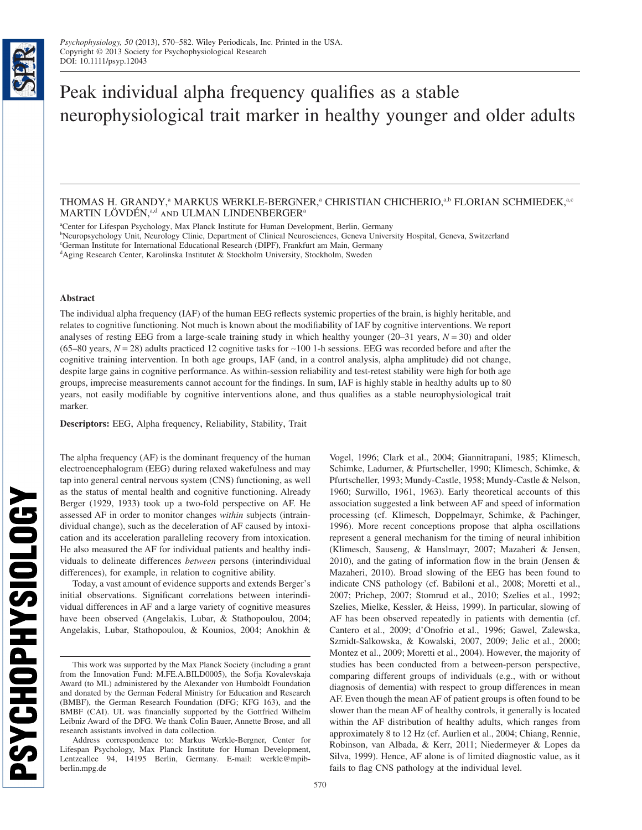bs\_bs\_banner

**PSYCHOPHYSIOLOGY** 

# Peak individual alpha frequency qualifies as a stable neurophysiological trait marker in healthy younger and older adults

# THOMAS H. GRANDY,<sup>a</sup> MARKUS WERKLE-BERGNER,<sup>a</sup> CHRISTIAN CHICHERIO,<sup>a,b</sup> FLORIAN SCHMIEDEK,<sup>a,c</sup> MARTIN LÖVDÉN,<sup>a,d</sup> AND ULMAN LINDENBERGER<sup>a</sup>

a Center for Lifespan Psychology, Max Planck Institute for Human Development, Berlin, Germany

b Neuropsychology Unit, Neurology Clinic, Department of Clinical Neurosciences, Geneva University Hospital, Geneva, Switzerland

c German Institute for International Educational Research (DIPF), Frankfurt am Main, Germany

<sup>d</sup>Aging Research Center, Karolinska Institutet & Stockholm University, Stockholm, Sweden

## **Abstract**

The individual alpha frequency (IAF) of the human EEG reflects systemic properties of the brain, is highly heritable, and relates to cognitive functioning. Not much is known about the modifiability of IAF by cognitive interventions. We report analyses of resting EEG from a large-scale training study in which healthy younger  $(20-31)$  years,  $N = 30$ ) and older  $(65–80 \text{ years}, N = 28)$  adults practiced 12 cognitive tasks for  $\sim$ 100 1-h sessions. EEG was recorded before and after the cognitive training intervention. In both age groups, IAF (and, in a control analysis, alpha amplitude) did not change, despite large gains in cognitive performance. As within-session reliability and test-retest stability were high for both age groups, imprecise measurements cannot account for the findings. In sum, IAF is highly stable in healthy adults up to 80 years, not easily modifiable by cognitive interventions alone, and thus qualifies as a stable neurophysiological trait marker.

**Descriptors:** EEG, Alpha frequency, Reliability, Stability, Trait

The alpha frequency (AF) is the dominant frequency of the human electroencephalogram (EEG) during relaxed wakefulness and may tap into general central nervous system (CNS) functioning, as well as the status of mental health and cognitive functioning. Already Berger (1929, 1933) took up a two-fold perspective on AF. He assessed AF in order to monitor changes *within* subjects (intraindividual change), such as the deceleration of AF caused by intoxication and its acceleration paralleling recovery from intoxication. He also measured the AF for individual patients and healthy individuals to delineate differences *between* persons (interindividual differences), for example, in relation to cognitive ability.

Today, a vast amount of evidence supports and extends Berger's initial observations. Significant correlations between interindividual differences in AF and a large variety of cognitive measures have been observed (Angelakis, Lubar, & Stathopoulou, 2004; Angelakis, Lubar, Stathopoulou, & Kounios, 2004; Anokhin & Vogel, 1996; Clark et al., 2004; Giannitrapani, 1985; Klimesch, Schimke, Ladurner, & Pfurtscheller, 1990; Klimesch, Schimke, & Pfurtscheller, 1993; Mundy-Castle, 1958; Mundy-Castle & Nelson, 1960; Surwillo, 1961, 1963). Early theoretical accounts of this association suggested a link between AF and speed of information processing (cf. Klimesch, Doppelmayr, Schimke, & Pachinger, 1996). More recent conceptions propose that alpha oscillations represent a general mechanism for the timing of neural inhibition (Klimesch, Sauseng, & Hanslmayr, 2007; Mazaheri & Jensen, 2010), and the gating of information flow in the brain (Jensen  $\&$ Mazaheri, 2010). Broad slowing of the EEG has been found to indicate CNS pathology (cf. Babiloni et al., 2008; Moretti et al., 2007; Prichep, 2007; Stomrud et al., 2010; Szelies et al., 1992; Szelies, Mielke, Kessler, & Heiss, 1999). In particular, slowing of AF has been observed repeatedly in patients with dementia (cf. Cantero et al., 2009; d'Onofrio et al., 1996; Gawel, Zalewska, Szmidt-Salkowska, & Kowalski, 2007, 2009; Jelic et al., 2000; Montez et al., 2009; Moretti et al., 2004). However, the majority of studies has been conducted from a between-person perspective, comparing different groups of individuals (e.g., with or without diagnosis of dementia) with respect to group differences in mean AF. Even though the mean AF of patient groups is often found to be slower than the mean AF of healthy controls, it generally is located within the AF distribution of healthy adults, which ranges from approximately 8 to 12 Hz (cf. Aurlien et al., 2004; Chiang, Rennie, Robinson, van Albada, & Kerr, 2011; Niedermeyer & Lopes da Silva, 1999). Hence, AF alone is of limited diagnostic value, as it fails to flag CNS pathology at the individual level.

This work was supported by the Max Planck Society (including a grant from the Innovation Fund: M.FE.A.BILD0005), the Sofja Kovalevskaja Award (to ML) administered by the Alexander von Humboldt Foundation and donated by the German Federal Ministry for Education and Research (BMBF), the German Research Foundation (DFG; KFG 163), and the BMBF (CAI). UL was financially supported by the Gottfried Wilhelm Leibniz Award of the DFG. We thank Colin Bauer, Annette Brose, and all research assistants involved in data collection.

Address correspondence to: Markus Werkle-Bergner, Center for Lifespan Psychology, Max Planck Institute for Human Development, Lentzeallee 94, 14195 Berlin, Germany. E-mail: werkle@mpibberlin.mpg.de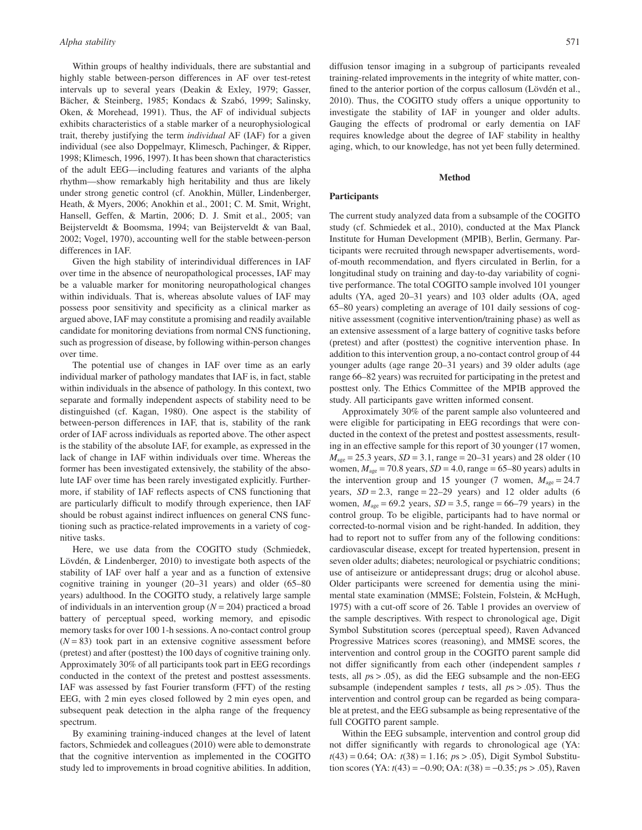Within groups of healthy individuals, there are substantial and highly stable between-person differences in AF over test-retest intervals up to several years (Deakin & Exley, 1979; Gasser, Bächer, & Steinberg, 1985; Kondacs & Szabó, 1999; Salinsky, Oken, & Morehead, 1991). Thus, the AF of individual subjects exhibits characteristics of a stable marker of a neurophysiological trait, thereby justifying the term *individual* AF (IAF) for a given individual (see also Doppelmayr, Klimesch, Pachinger, & Ripper, 1998; Klimesch, 1996, 1997). It has been shown that characteristics of the adult EEG—including features and variants of the alpha rhythm—show remarkably high heritability and thus are likely under strong genetic control (cf. Anokhin, Müller, Lindenberger, Heath, & Myers, 2006; Anokhin et al., 2001; C. M. Smit, Wright, Hansell, Geffen, & Martin, 2006; D. J. Smit et al., 2005; van Beijsterveldt & Boomsma, 1994; van Beijsterveldt & van Baal, 2002; Vogel, 1970), accounting well for the stable between-person differences in IAF.

Given the high stability of interindividual differences in IAF over time in the absence of neuropathological processes, IAF may be a valuable marker for monitoring neuropathological changes within individuals. That is, whereas absolute values of IAF may possess poor sensitivity and specificity as a clinical marker as argued above, IAF may constitute a promising and readily available candidate for monitoring deviations from normal CNS functioning, such as progression of disease, by following within-person changes over time.

The potential use of changes in IAF over time as an early individual marker of pathology mandates that IAF is, in fact, stable within individuals in the absence of pathology. In this context, two separate and formally independent aspects of stability need to be distinguished (cf. Kagan, 1980). One aspect is the stability of between-person differences in IAF, that is, stability of the rank order of IAF across individuals as reported above. The other aspect is the stability of the absolute IAF, for example, as expressed in the lack of change in IAF within individuals over time. Whereas the former has been investigated extensively, the stability of the absolute IAF over time has been rarely investigated explicitly. Furthermore, if stability of IAF reflects aspects of CNS functioning that are particularly difficult to modify through experience, then IAF should be robust against indirect influences on general CNS functioning such as practice-related improvements in a variety of cognitive tasks.

Here, we use data from the COGITO study (Schmiedek, Lövdén, & Lindenberger, 2010) to investigate both aspects of the stability of IAF over half a year and as a function of extensive cognitive training in younger (20–31 years) and older (65–80 years) adulthood. In the COGITO study, a relatively large sample of individuals in an intervention group (*N* = 204) practiced a broad battery of perceptual speed, working memory, and episodic memory tasks for over 100 1-h sessions. A no-contact control group  $(N = 83)$  took part in an extensive cognitive assessment before (pretest) and after (posttest) the 100 days of cognitive training only. Approximately 30% of all participants took part in EEG recordings conducted in the context of the pretest and posttest assessments. IAF was assessed by fast Fourier transform (FFT) of the resting EEG, with 2 min eyes closed followed by 2 min eyes open, and subsequent peak detection in the alpha range of the frequency spectrum.

By examining training-induced changes at the level of latent factors, Schmiedek and colleagues (2010) were able to demonstrate that the cognitive intervention as implemented in the COGITO study led to improvements in broad cognitive abilities. In addition, diffusion tensor imaging in a subgroup of participants revealed training-related improvements in the integrity of white matter, confined to the anterior portion of the corpus callosum (Lövdén et al., 2010). Thus, the COGITO study offers a unique opportunity to investigate the stability of IAF in younger and older adults. Gauging the effects of prodromal or early dementia on IAF requires knowledge about the degree of IAF stability in healthy aging, which, to our knowledge, has not yet been fully determined.

# **Method**

## **Participants**

The current study analyzed data from a subsample of the COGITO study (cf. Schmiedek et al., 2010), conducted at the Max Planck Institute for Human Development (MPIB), Berlin, Germany. Participants were recruited through newspaper advertisements, wordof-mouth recommendation, and flyers circulated in Berlin, for a longitudinal study on training and day-to-day variability of cognitive performance. The total COGITO sample involved 101 younger adults (YA, aged 20–31 years) and 103 older adults (OA, aged 65–80 years) completing an average of 101 daily sessions of cognitive assessment (cognitive intervention/training phase) as well as an extensive assessment of a large battery of cognitive tasks before (pretest) and after (posttest) the cognitive intervention phase. In addition to this intervention group, a no-contact control group of 44 younger adults (age range 20–31 years) and 39 older adults (age range 66–82 years) was recruited for participating in the pretest and posttest only. The Ethics Committee of the MPIB approved the study. All participants gave written informed consent.

Approximately 30% of the parent sample also volunteered and were eligible for participating in EEG recordings that were conducted in the context of the pretest and posttest assessments, resulting in an effective sample for this report of 30 younger (17 women,  $M_{\text{age}} = 25.3$  years,  $SD = 3.1$ , range = 20–31 years) and 28 older (10) women,  $M_{\text{age}} = 70.8$  years,  $SD = 4.0$ , range = 65–80 years) adults in the intervention group and 15 younger (7 women,  $M_{\text{age}} = 24.7$ years,  $SD = 2.3$ , range =  $22-29$  years) and 12 older adults (6 women,  $M_{\text{age}} = 69.2$  years,  $SD = 3.5$ , range = 66–79 years) in the control group. To be eligible, participants had to have normal or corrected-to-normal vision and be right-handed. In addition, they had to report not to suffer from any of the following conditions: cardiovascular disease, except for treated hypertension, present in seven older adults; diabetes; neurological or psychiatric conditions; use of antiseizure or antidepressant drugs; drug or alcohol abuse. Older participants were screened for dementia using the minimental state examination (MMSE; Folstein, Folstein, & McHugh, 1975) with a cut-off score of 26. Table 1 provides an overview of the sample descriptives. With respect to chronological age, Digit Symbol Substitution scores (perceptual speed), Raven Advanced Progressive Matrices scores (reasoning), and MMSE scores, the intervention and control group in the COGITO parent sample did not differ significantly from each other (independent samples *t* tests, all *p*s > .05), as did the EEG subsample and the non-EEG subsample (independent samples *t* tests, all *p*s > .05). Thus the intervention and control group can be regarded as being comparable at pretest, and the EEG subsample as being representative of the full COGITO parent sample.

Within the EEG subsample, intervention and control group did not differ significantly with regards to chronological age (YA: *t*(43) = 0.64; OA: *t*(38) = 1.16; *p*s > .05), Digit Symbol Substitution scores (YA: *t*(43) = -0.90; OA: *t*(38) = -0.35; *p*s > .05), Raven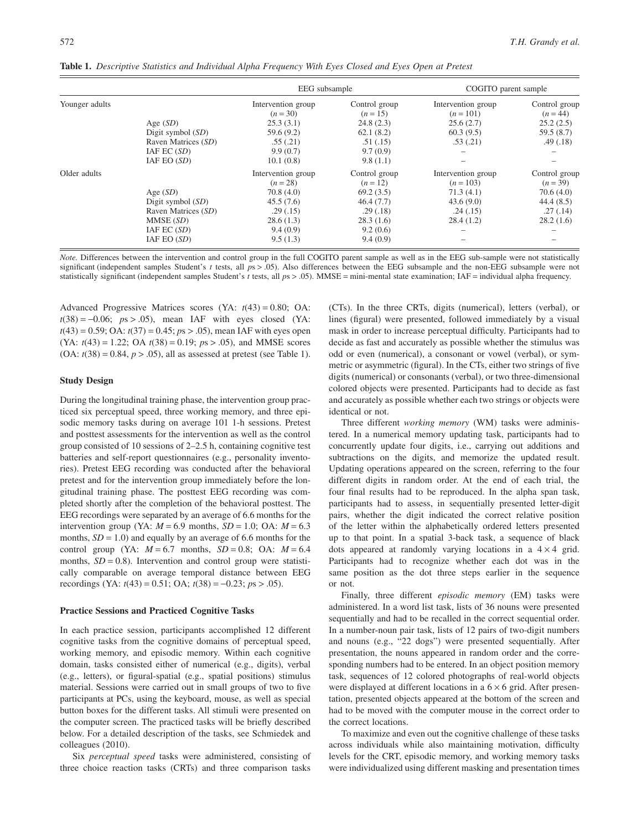|                                                                                                                             |                                                                                  | EEG subsample                                                                                                |                                                                                                        | COGITO parent sample                                                                 |                                                                               |  |  |
|-----------------------------------------------------------------------------------------------------------------------------|----------------------------------------------------------------------------------|--------------------------------------------------------------------------------------------------------------|--------------------------------------------------------------------------------------------------------|--------------------------------------------------------------------------------------|-------------------------------------------------------------------------------|--|--|
| Younger adults                                                                                                              | Age $(SD)$                                                                       | Intervention group<br>$(n=30)$<br>25.3(3.1)                                                                  | Control group<br>$(n = 15)$<br>24.8(2.3)                                                               | Intervention group<br>$(n = 101)$<br>25.6(2.7)                                       | Control group<br>$(n = 44)$<br>25.2(2.5)                                      |  |  |
|                                                                                                                             | Digit symbol $(SD)$<br>Raven Matrices (SD)<br>$IAF$ EC $(SD)$<br>$IAF$ EO $(SD)$ | 59.6(9.2)<br>.55(.21)<br>9.9(0.7)<br>10.1(0.8)                                                               | 62.1(8.2)<br>.51(.15)<br>9.7(0.9)<br>9.8(1.1)                                                          | 60.3(9.5)<br>.53(.21)                                                                | 59.5(8.7)<br>.49(0.18)                                                        |  |  |
| Older adults<br>Age $(SD)$<br>Digit symbol $(SD)$<br>Raven Matrices (SD)<br>MMSE (SD)<br>$IAF$ EC $(SD)$<br>$IAF$ EO $(SD)$ |                                                                                  | Intervention group<br>$(n = 28)$<br>70.8(4.0)<br>45.5(7.6)<br>.29(0.15)<br>28.6(1.3)<br>9.4(0.9)<br>9.5(1.3) | Control group<br>$(n = 12)$<br>69.2(3.5)<br>46.4(7.7)<br>.29(.18)<br>28.3(1.6)<br>9.2(0.6)<br>9.4(0.9) | Intervention group<br>$(n = 103)$<br>71.3(4.1)<br>43.6(9.0)<br>.24(.15)<br>28.4(1.2) | Control group<br>$(n=39)$<br>70.6(4.0)<br>44.4(8.5)<br>.27(0.14)<br>28.2(1.6) |  |  |

**Table 1.** *Descriptive Statistics and Individual Alpha Frequency With Eyes Closed and Eyes Open at Pretest*

*Note.* Differences between the intervention and control group in the full COGITO parent sample as well as in the EEG sub-sample were not statistically significant (independent samples Student's *t* tests, all *p*s > .05). Also differences between the EEG subsample and the non-EEG subsample were not statistically significant (independent samples Student's *t* tests, all  $ps > .05$ ). MMSE = mini-mental state examination; IAF = individual alpha frequency.

Advanced Progressive Matrices scores (YA: *t*(43) = 0.80; OA:  $t(38) = -0.06$ ;  $ps > .05$ ), mean IAF with eyes closed (YA: *t*(43) = 0.59; OA: *t*(37) = 0.45; *p*s > .05), mean IAF with eyes open (YA: *t*(43) = 1.22; OA *t*(38) = 0.19; *p*s > .05), and MMSE scores  $(OA: t(38) = 0.84, p > .05)$ , all as assessed at pretest (see Table 1).

#### **Study Design**

During the longitudinal training phase, the intervention group practiced six perceptual speed, three working memory, and three episodic memory tasks during on average 101 1-h sessions. Pretest and posttest assessments for the intervention as well as the control group consisted of 10 sessions of 2–2.5 h, containing cognitive test batteries and self-report questionnaires (e.g., personality inventories). Pretest EEG recording was conducted after the behavioral pretest and for the intervention group immediately before the longitudinal training phase. The posttest EEG recording was completed shortly after the completion of the behavioral posttest. The EEG recordings were separated by an average of 6.6 months for the intervention group (YA:  $M = 6.9$  months,  $SD = 1.0$ ; OA:  $M = 6.3$ months,  $SD = 1.0$ ) and equally by an average of 6.6 months for the control group (YA:  $M = 6.7$  months,  $SD = 0.8$ ; OA:  $M = 6.4$ months,  $SD = 0.8$ ). Intervention and control group were statistically comparable on average temporal distance between EEG recordings (YA: *t*(43) = 0.51; OA; *t*(38) = -0.23; *p*s > .05).

#### **Practice Sessions and Practiced Cognitive Tasks**

In each practice session, participants accomplished 12 different cognitive tasks from the cognitive domains of perceptual speed, working memory, and episodic memory. Within each cognitive domain, tasks consisted either of numerical (e.g., digits), verbal (e.g., letters), or figural-spatial (e.g., spatial positions) stimulus material. Sessions were carried out in small groups of two to five participants at PCs, using the keyboard, mouse, as well as special button boxes for the different tasks. All stimuli were presented on the computer screen. The practiced tasks will be briefly described below. For a detailed description of the tasks, see Schmiedek and colleagues (2010).

Six *perceptual speed* tasks were administered, consisting of three choice reaction tasks (CRTs) and three comparison tasks

(CTs). In the three CRTs, digits (numerical), letters (verbal), or lines (figural) were presented, followed immediately by a visual mask in order to increase perceptual difficulty. Participants had to decide as fast and accurately as possible whether the stimulus was odd or even (numerical), a consonant or vowel (verbal), or symmetric or asymmetric (figural). In the CTs, either two strings of five digits (numerical) or consonants (verbal), or two three-dimensional colored objects were presented. Participants had to decide as fast and accurately as possible whether each two strings or objects were identical or not.

Three different *working memory* (WM) tasks were administered. In a numerical memory updating task, participants had to concurrently update four digits, i.e., carrying out additions and subtractions on the digits, and memorize the updated result. Updating operations appeared on the screen, referring to the four different digits in random order. At the end of each trial, the four final results had to be reproduced. In the alpha span task, participants had to assess, in sequentially presented letter-digit pairs, whether the digit indicated the correct relative position of the letter within the alphabetically ordered letters presented up to that point. In a spatial 3-back task, a sequence of black dots appeared at randomly varying locations in a  $4 \times 4$  grid. Participants had to recognize whether each dot was in the same position as the dot three steps earlier in the sequence or not.

Finally, three different *episodic memory* (EM) tasks were administered. In a word list task, lists of 36 nouns were presented sequentially and had to be recalled in the correct sequential order. In a number-noun pair task, lists of 12 pairs of two-digit numbers and nouns (e.g., "22 dogs") were presented sequentially. After presentation, the nouns appeared in random order and the corresponding numbers had to be entered. In an object position memory task, sequences of 12 colored photographs of real-world objects were displayed at different locations in a  $6 \times 6$  grid. After presentation, presented objects appeared at the bottom of the screen and had to be moved with the computer mouse in the correct order to the correct locations.

To maximize and even out the cognitive challenge of these tasks across individuals while also maintaining motivation, difficulty levels for the CRT, episodic memory, and working memory tasks were individualized using different masking and presentation times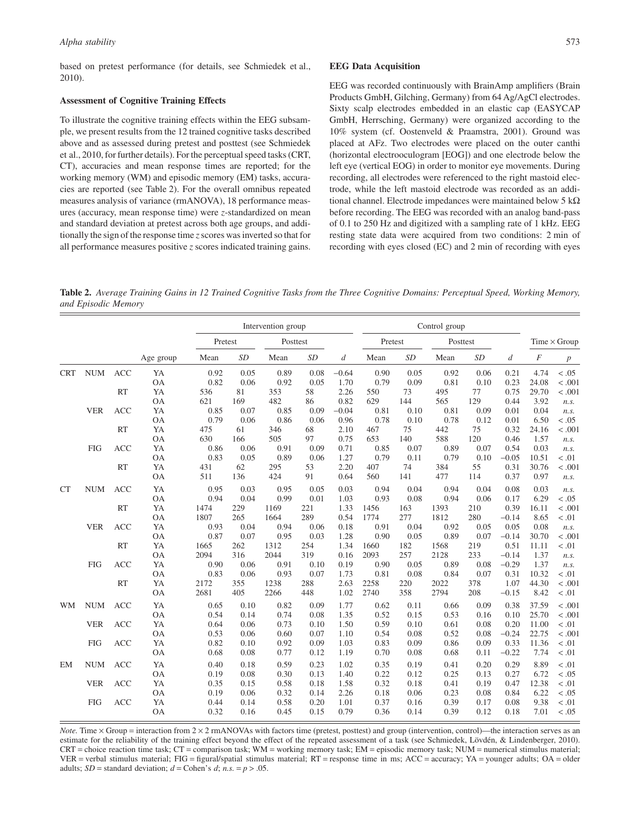based on pretest performance (for details, see Schmiedek et al., 2010).

#### **Assessment of Cognitive Training Effects**

To illustrate the cognitive training effects within the EEG subsample, we present results from the 12 trained cognitive tasks described above and as assessed during pretest and posttest (see Schmiedek et al., 2010, for further details). For the perceptual speed tasks (CRT, CT), accuracies and mean response times are reported; for the working memory (WM) and episodic memory (EM) tasks, accuracies are reported (see Table 2). For the overall omnibus repeated measures analysis of variance (rmANOVA), 18 performance measures (accuracy, mean response time) were *z*-standardized on mean and standard deviation at pretest across both age groups, and additionally the sign of the response time *z* scores was inverted so that for all performance measures positive *z* scores indicated training gains.

#### **EEG Data Acquisition**

EEG was recorded continuously with BrainAmp amplifiers (Brain Products GmbH, Gilching, Germany) from 64 Ag/AgCl electrodes. Sixty scalp electrodes embedded in an elastic cap (EASYCAP GmbH, Herrsching, Germany) were organized according to the 10% system (cf. Oostenveld & Praamstra, 2001). Ground was placed at AFz. Two electrodes were placed on the outer canthi (horizontal electrooculogram [EOG]) and one electrode below the left eye (vertical EOG) in order to monitor eye movements. During recording, all electrodes were referenced to the right mastoid electrode, while the left mastoid electrode was recorded as an additional channel. Electrode impedances were maintained below 5  $k\Omega$ before recording. The EEG was recorded with an analog band-pass of 0.1 to 250 Hz and digitized with a sampling rate of 1 kHz. EEG resting state data were acquired from two conditions: 2 min of recording with eyes closed (EC) and 2 min of recording with eyes

**Table 2.** *Average Training Gains in 12 Trained Cognitive Tasks from the Three Cognitive Domains: Perceptual Speed, Working Memory, and Episodic Memory*

|            |            |            |           |         | Intervention group |          |      | Control group    |                     |      |      |      |                     |                  |                  |
|------------|------------|------------|-----------|---------|--------------------|----------|------|------------------|---------------------|------|------|------|---------------------|------------------|------------------|
|            |            |            |           | Pretest |                    | Posttest |      |                  | Pretest<br>Posttest |      |      |      | Time $\times$ Group |                  |                  |
|            |            |            | Age group | Mean    | SD                 | Mean     | SD   | $\boldsymbol{d}$ | Mean                | SD   | Mean | SD   | d                   | $\boldsymbol{F}$ | $\boldsymbol{p}$ |
| <b>CRT</b> | <b>NUM</b> | <b>ACC</b> | YA        | 0.92    | 0.05               | 0.89     | 0.08 | $-0.64$          | 0.90                | 0.05 | 0.92 | 0.06 | 0.21                | 4.74             | < 0.05           |
|            |            |            | <b>OA</b> | 0.82    | 0.06               | 0.92     | 0.05 | 1.70             | 0.79                | 0.09 | 0.81 | 0.10 | 0.23                | 24.08            | < .001           |
|            |            | <b>RT</b>  | YA        | 536     | 81                 | 353      | 58   | 2.26             | 550                 | 73   | 495  | 77   | 0.75                | 29.70            | < .001           |
|            |            |            | <b>OA</b> | 621     | 169                | 482      | 86   | 0.82             | 629                 | 144  | 565  | 129  | 0.44                | 3.92             | n.s.             |
|            | <b>VER</b> | <b>ACC</b> | YA        | 0.85    | 0.07               | 0.85     | 0.09 | $-0.04$          | 0.81                | 0.10 | 0.81 | 0.09 | 0.01                | 0.04             | n.s.             |
|            |            |            | <b>OA</b> | 0.79    | 0.06               | 0.86     | 0.06 | 0.96             | 0.78                | 0.10 | 0.78 | 0.12 | 0.01                | 6.50             | < .05            |
|            |            | <b>RT</b>  | YA        | 475     | 61                 | 346      | 68   | 2.10             | 467                 | 75   | 442  | 75   | 0.32                | 24.16            | < .001           |
|            |            |            | <b>OA</b> | 630     | 166                | 505      | 97   | 0.75             | 653                 | 140  | 588  | 120  | 0.46                | 1.57             | n.s.             |
|            | <b>FIG</b> | <b>ACC</b> | YA        | 0.86    | 0.06               | 0.91     | 0.09 | 0.71             | 0.85                | 0.07 | 0.89 | 0.07 | 0.54                | 0.03             | n.s.             |
|            |            |            | <b>OA</b> | 0.83    | 0.05               | 0.89     | 0.06 | 1.27             | 0.79                | 0.11 | 0.79 | 0.10 | $-0.05$             | 10.51            | < 0.01           |
|            |            | <b>RT</b>  | YA        | 431     | 62                 | 295      | 53   | 2.20             | 407                 | 74   | 384  | 55   | 0.31                | 30.76            | < .001           |
|            |            |            | <b>OA</b> | 511     | 136                | 424      | 91   | 0.64             | 560                 | 141  | 477  | 114  | 0.37                | 0.97             | n.s.             |
| <b>CT</b>  | <b>NUM</b> | <b>ACC</b> | YA        | 0.95    | 0.03               | 0.95     | 0.05 | 0.03             | 0.94                | 0.04 | 0.94 | 0.04 | 0.08                | 0.03             | n.s.             |
|            |            |            | <b>OA</b> | 0.94    | 0.04               | 0.99     | 0.01 | 1.03             | 0.93                | 0.08 | 0.94 | 0.06 | 0.17                | 6.29             | < .05            |
|            |            | <b>RT</b>  | YA        | 1474    | 229                | 1169     | 221  | 1.33             | 1456                | 163  | 1393 | 210  | 0.39                | 16.11            | < .001           |
|            |            |            | <b>OA</b> | 1807    | 265                | 1664     | 289  | 0.54             | 1774                | 277  | 1812 | 280  | $-0.14$             | 8.65             | < 0.01           |
|            | <b>VER</b> | <b>ACC</b> | YA        | 0.93    | 0.04               | 0.94     | 0.06 | 0.18             | 0.91                | 0.04 | 0.92 | 0.05 | 0.05                | 0.08             | n.s.             |
|            |            |            | <b>OA</b> | 0.87    | 0.07               | 0.95     | 0.03 | 1.28             | 0.90                | 0.05 | 0.89 | 0.07 | $-0.14$             | 30.70            | < .001           |
|            |            | <b>RT</b>  | YA        | 1665    | 262                | 1312     | 254  | 1.34             | 1660                | 182  | 1568 | 219  | 0.51                | 11.11            | < .01            |
|            |            |            | <b>OA</b> | 2094    | 316                | 2044     | 319  | 0.16             | 2093                | 257  | 2128 | 233  | $-0.14$             | 1.37             | n.s.             |
|            | <b>FIG</b> | <b>ACC</b> | YA        | 0.90    | 0.06               | 0.91     | 0.10 | 0.19             | 0.90                | 0.05 | 0.89 | 0.08 | $-0.29$             | 1.37             | n.s.             |
|            |            |            | <b>OA</b> | 0.83    | 0.06               | 0.93     | 0.07 | 1.73             | 0.81                | 0.08 | 0.84 | 0.07 | 0.31                | 10.32            | < .01            |
|            |            | <b>RT</b>  | YA        | 2172    | 355                | 1238     | 288  | 2.63             | 2258                | 220  | 2022 | 378  | 1.07                | 44.30            | < .001           |
|            |            |            | <b>OA</b> | 2681    | 405                | 2266     | 448  | 1.02             | 2740                | 358  | 2794 | 208  | $-0.15$             | 8.42             | < 0.01           |
| <b>WM</b>  | <b>NUM</b> | <b>ACC</b> | YA        | 0.65    | 0.10               | 0.82     | 0.09 | 1.77             | 0.62                | 0.11 | 0.66 | 0.09 | 0.38                | 37.59            | < .001           |
|            |            |            | <b>OA</b> | 0.54    | 0.14               | 0.74     | 0.08 | 1.35             | 0.52                | 0.15 | 0.53 | 0.16 | 0.10                | 25.70            | < .001           |
|            | <b>VER</b> | <b>ACC</b> | YA        | 0.64    | 0.06               | 0.73     | 0.10 | 1.50             | 0.59                | 0.10 | 0.61 | 0.08 | 0.20                | 11.00            | < 0.01           |
|            |            |            | <b>OA</b> | 0.53    | 0.06               | 0.60     | 0.07 | 1.10             | 0.54                | 0.08 | 0.52 | 0.08 | $-0.24$             | 22.75            | < .001           |
|            | <b>FIG</b> | <b>ACC</b> | YA        | 0.82    | 0.10               | 0.92     | 0.09 | 1.03             | 0.83                | 0.09 | 0.86 | 0.09 | 0.33                | 11.36            | < 0.01           |
|            |            |            | <b>OA</b> | 0.68    | 0.08               | 0.77     | 0.12 | 1.19             | 0.70                | 0.08 | 0.68 | 0.11 | $-0.22$             | 7.74             | < 0.01           |
| EM         | <b>NUM</b> | <b>ACC</b> | YA        | 0.40    | 0.18               | 0.59     | 0.23 | 1.02             | 0.35                | 0.19 | 0.41 | 0.20 | 0.29                | 8.89             | < 0.01           |
|            |            |            | <b>OA</b> | 0.19    | 0.08               | 0.30     | 0.13 | 1.40             | 0.22                | 0.12 | 0.25 | 0.13 | 0.27                | 6.72             | < .05            |
|            | <b>VER</b> | <b>ACC</b> | YA        | 0.35    | 0.15               | 0.58     | 0.18 | 1.58             | 0.32                | 0.18 | 0.41 | 0.19 | 0.47                | 12.38            | < 0.01           |
|            |            |            | <b>OA</b> | 0.19    | 0.06               | 0.32     | 0.14 | 2.26             | 0.18                | 0.06 | 0.23 | 0.08 | 0.84                | 6.22             | < 0.05           |
|            | <b>FIG</b> | <b>ACC</b> | YA        | 0.44    | 0.14               | 0.58     | 0.20 | 1.01             | 0.37                | 0.16 | 0.39 | 0.17 | 0.08                | 9.38             | < 0.01           |
|            |            |            | <b>OA</b> | 0.32    | 0.16               | 0.45     | 0.15 | 0.79             | 0.36                | 0.14 | 0.39 | 0.12 | 0.18                | 7.01             | < .05            |
|            |            |            |           |         |                    |          |      |                  |                     |      |      |      |                     |                  |                  |

*Note.* Time  $\times$  Group = interaction from  $2 \times 2$  rmANOVAs with factors time (pretest, posttest) and group (intervention, control)—the interaction serves as an estimate for the reliability of the training effect beyond the effect of the repeated assessment of a task (see Schmiedek, Lövdén, & Lindenberger, 2010). CRT = choice reaction time task; CT = comparison task; WM = working memory task; EM = episodic memory task; NUM = numerical stimulus material; VER = verbal stimulus material; FIG = figural/spatial stimulus material; RT = response time in ms; ACC = accuracy; YA = younger adults; OA = older adults;  $SD =$  standard deviation;  $d =$  Cohen's  $d$ ;  $n.s. = p > .05$ .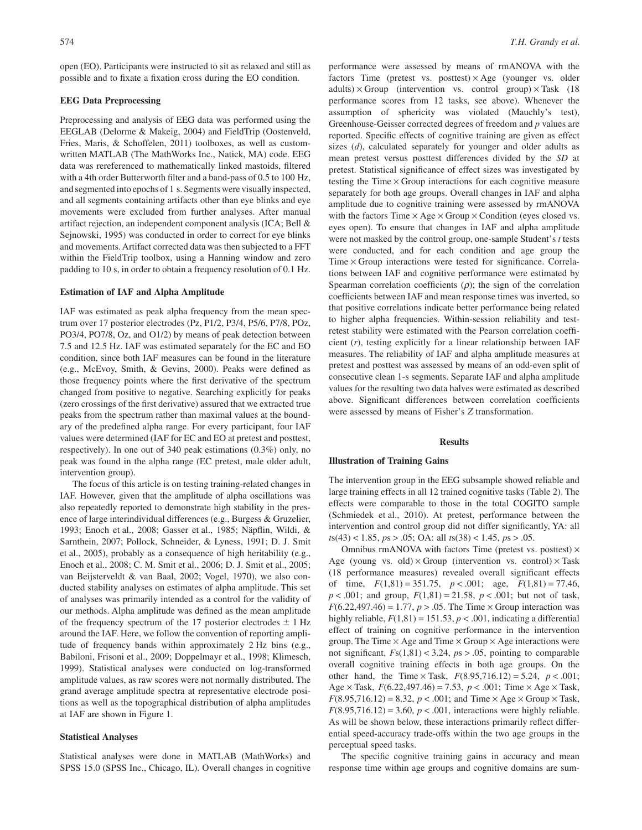open (EO). Participants were instructed to sit as relaxed and still as possible and to fixate a fixation cross during the EO condition.

## **EEG Data Preprocessing**

Preprocessing and analysis of EEG data was performed using the EEGLAB (Delorme & Makeig, 2004) and FieldTrip (Oostenveld, Fries, Maris, & Schoffelen, 2011) toolboxes, as well as customwritten MATLAB (The MathWorks Inc., Natick, MA) code. EEG data was rereferenced to mathematically linked mastoids, filtered with a 4th order Butterworth filter and a band-pass of 0.5 to 100 Hz, and segmented into epochs of 1 s. Segments were visually inspected, and all segments containing artifacts other than eye blinks and eye movements were excluded from further analyses. After manual artifact rejection, an independent component analysis (ICA; Bell & Sejnowski, 1995) was conducted in order to correct for eye blinks and movements. Artifact corrected data was then subjected to a FFT within the FieldTrip toolbox, using a Hanning window and zero padding to 10 s, in order to obtain a frequency resolution of 0.1 Hz.

#### **Estimation of IAF and Alpha Amplitude**

IAF was estimated as peak alpha frequency from the mean spectrum over 17 posterior electrodes (Pz, P1/2, P3/4, P5/6, P7/8, POz, PO3/4, PO7/8, Oz, and O1/2) by means of peak detection between 7.5 and 12.5 Hz. IAF was estimated separately for the EC and EO condition, since both IAF measures can be found in the literature (e.g., McEvoy, Smith, & Gevins, 2000). Peaks were defined as those frequency points where the first derivative of the spectrum changed from positive to negative. Searching explicitly for peaks (zero crossings of the first derivative) assured that we extracted true peaks from the spectrum rather than maximal values at the boundary of the predefined alpha range. For every participant, four IAF values were determined (IAF for EC and EO at pretest and posttest, respectively). In one out of 340 peak estimations (0.3%) only, no peak was found in the alpha range (EC pretest, male older adult, intervention group).

The focus of this article is on testing training-related changes in IAF. However, given that the amplitude of alpha oscillations was also repeatedly reported to demonstrate high stability in the presence of large interindividual differences (e.g., Burgess & Gruzelier, 1993; Enoch et al., 2008; Gasser et al., 1985; Näpflin, Wildi, & Sarnthein, 2007; Pollock, Schneider, & Lyness, 1991; D. J. Smit et al., 2005), probably as a consequence of high heritability (e.g., Enoch et al., 2008; C. M. Smit et al., 2006; D. J. Smit et al., 2005; van Beijsterveldt & van Baal, 2002; Vogel, 1970), we also conducted stability analyses on estimates of alpha amplitude. This set of analyses was primarily intended as a control for the validity of our methods. Alpha amplitude was defined as the mean amplitude of the frequency spectrum of the 17 posterior electrodes  $\pm$  1 Hz around the IAF. Here, we follow the convention of reporting amplitude of frequency bands within approximately 2 Hz bins (e.g., Babiloni, Frisoni et al., 2009; Doppelmayr et al., 1998; Klimesch, 1999). Statistical analyses were conducted on log-transformed amplitude values, as raw scores were not normally distributed. The grand average amplitude spectra at representative electrode positions as well as the topographical distribution of alpha amplitudes at IAF are shown in Figure 1.

#### **Statistical Analyses**

Statistical analyses were done in MATLAB (MathWorks) and SPSS 15.0 (SPSS Inc., Chicago, IL). Overall changes in cognitive

performance were assessed by means of rmANOVA with the factors Time (pretest vs. posttest)  $\times$  Age (younger vs. older adults)  $\times$  Group (intervention vs. control group)  $\times$  Task (18) performance scores from 12 tasks, see above). Whenever the assumption of sphericity was violated (Mauchly's test), Greenhouse-Geisser corrected degrees of freedom and *p* values are reported. Specific effects of cognitive training are given as effect sizes (*d*), calculated separately for younger and older adults as mean pretest versus posttest differences divided by the *SD* at pretest. Statistical significance of effect sizes was investigated by testing the Time  $\times$  Group interactions for each cognitive measure separately for both age groups. Overall changes in IAF and alpha amplitude due to cognitive training were assessed by rmANOVA with the factors Time  $\times$  Age  $\times$  Group  $\times$  Condition (eyes closed vs. eyes open). To ensure that changes in IAF and alpha amplitude were not masked by the control group, one-sample Student's *t* tests were conducted, and for each condition and age group the Time  $\times$  Group interactions were tested for significance. Correlations between IAF and cognitive performance were estimated by Spearman correlation coefficients  $(\rho)$ ; the sign of the correlation coefficients between IAF and mean response times was inverted, so that positive correlations indicate better performance being related to higher alpha frequencies. Within-session reliability and testretest stability were estimated with the Pearson correlation coefficient (*r*), testing explicitly for a linear relationship between IAF measures. The reliability of IAF and alpha amplitude measures at pretest and posttest was assessed by means of an odd-even split of consecutive clean 1-s segments. Separate IAF and alpha amplitude values for the resulting two data halves were estimated as described above. Significant differences between correlation coefficients were assessed by means of Fisher's *Z* transformation.

#### **Results**

#### **Illustration of Training Gains**

The intervention group in the EEG subsample showed reliable and large training effects in all 12 trained cognitive tasks (Table 2). The effects were comparable to those in the total COGITO sample (Schmiedek et al., 2010). At pretest, performance between the intervention and control group did not differ significantly, YA: all *t*s(43) < 1.85, *p*s > .05; OA: all *t*s(38) < 1.45, *p*s > .05.

Omnibus rmANOVA with factors Time (pretest vs. posttest)  $\times$ Age (young vs. old)  $\times$  Group (intervention vs. control)  $\times$  Task (18 performance measures) revealed overall significant effects of time,  $F(1,81) = 351.75$ ,  $p < .001$ ; age,  $F(1,81) = 77.46$ , *p* < .001; and group, *F*(1,81) = 21.58, *p* < .001; but not of task,  $F(6.22,497.46) = 1.77$ ,  $p > .05$ . The Time  $\times$  Group interaction was highly reliable,  $F(1,81) = 151.53$ ,  $p < .001$ , indicating a differential effect of training on cognitive performance in the intervention group. The Time  $\times$  Age and Time  $\times$  Group  $\times$  Age interactions were not significant,  $Fs(1,81) < 3.24$ ,  $ps > .05$ , pointing to comparable overall cognitive training effects in both age groups. On the other hand, the Time  $\times$  Task,  $F(8.95, 716.12) = 5.24$ ,  $p < .001$ ; Age  $\times$  Task,  $F(6.22, 497.46) = 7.53, p < .001$ ; Time  $\times$  Age  $\times$  Task,  $F(8.95,716.12) = 8.32, p < .001$ ; and Time  $\times$  Age  $\times$  Group  $\times$  Task,  $F(8.95,716.12) = 3.60, p < .001$ , interactions were highly reliable. As will be shown below, these interactions primarily reflect differential speed-accuracy trade-offs within the two age groups in the perceptual speed tasks.

The specific cognitive training gains in accuracy and mean response time within age groups and cognitive domains are sum-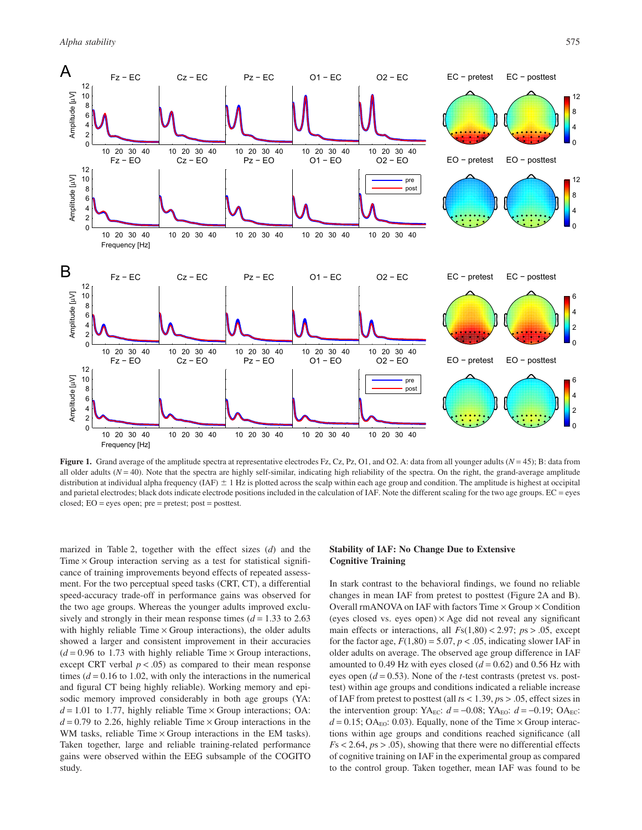

**Figure 1.** Grand average of the amplitude spectra at representative electrodes Fz, Cz, Pz, O1, and O2. A: data from all younger adults (*N* = 45); B: data from all older adults  $(N = 40)$ . Note that the spectra are highly self-similar, indicating high reliability of the spectra. On the right, the grand-average amplitude distribution at individual alpha frequency (IAF)  $\pm$  1 Hz is plotted across the scalp within each age group and condition. The amplitude is highest at occipital and parietal electrodes; black dots indicate electrode positions included in the calculation of IAF. Note the different scaling for the two age groups.  $EC = e$ yes closed;  $EO = eyes$  open;  $pre = pretest$ ;  $post = posttest$ .

marized in Table 2, together with the effect sizes (*d*) and the Time  $\times$  Group interaction serving as a test for statistical significance of training improvements beyond effects of repeated assessment. For the two perceptual speed tasks (CRT, CT), a differential speed-accuracy trade-off in performance gains was observed for the two age groups. Whereas the younger adults improved exclusively and strongly in their mean response times  $(d = 1.33$  to 2.63 with highly reliable  $Time \times Group$  interactions), the older adults showed a larger and consistent improvement in their accuracies  $(d = 0.96$  to 1.73 with highly reliable Time  $\times$  Group interactions, except CRT verbal  $p < .05$ ) as compared to their mean response times  $(d = 0.16$  to 1.02, with only the interactions in the numerical and figural CT being highly reliable). Working memory and episodic memory improved considerably in both age groups (YA:  $d = 1.01$  to 1.77, highly reliable Time  $\times$  Group interactions; OA:  $d = 0.79$  to 2.26, highly reliable Time  $\times$  Group interactions in the WM tasks, reliable Time  $\times$  Group interactions in the EM tasks). Taken together, large and reliable training-related performance gains were observed within the EEG subsample of the COGITO study.

# **Stability of IAF: No Change Due to Extensive Cognitive Training**

In stark contrast to the behavioral findings, we found no reliable changes in mean IAF from pretest to posttest (Figure 2A and B). Overall rmANOVA on IAF with factors Time  $\times$  Group  $\times$  Condition (eyes closed vs. eyes open)  $\times$  Age did not reveal any significant main effects or interactions, all  $Fs(1,80) < 2.97$ ;  $ps > .05$ , except for the factor age,  $F(1,80) = 5.07$ ,  $p < .05$ , indicating slower IAF in older adults on average. The observed age group difference in IAF amounted to 0.49 Hz with eyes closed  $(d = 0.62)$  and 0.56 Hz with eyes open (*d* = 0.53). None of the *t-*test contrasts (pretest vs. posttest) within age groups and conditions indicated a reliable increase of IAF from pretest to posttest (all *t*s < 1.39, *p*s > .05, effect sizes in the intervention group: YA<sub>EC</sub>:  $d = -0.08$ ; YA<sub>EO</sub>:  $d = -0.19$ ; OA<sub>EC</sub>:  $d = 0.15$ ; OA<sub>EO</sub>: 0.03). Equally, none of the Time  $\times$  Group interactions within age groups and conditions reached significance (all  $F_s$  < 2.64,  $ps$  > .05), showing that there were no differential effects of cognitive training on IAF in the experimental group as compared to the control group. Taken together, mean IAF was found to be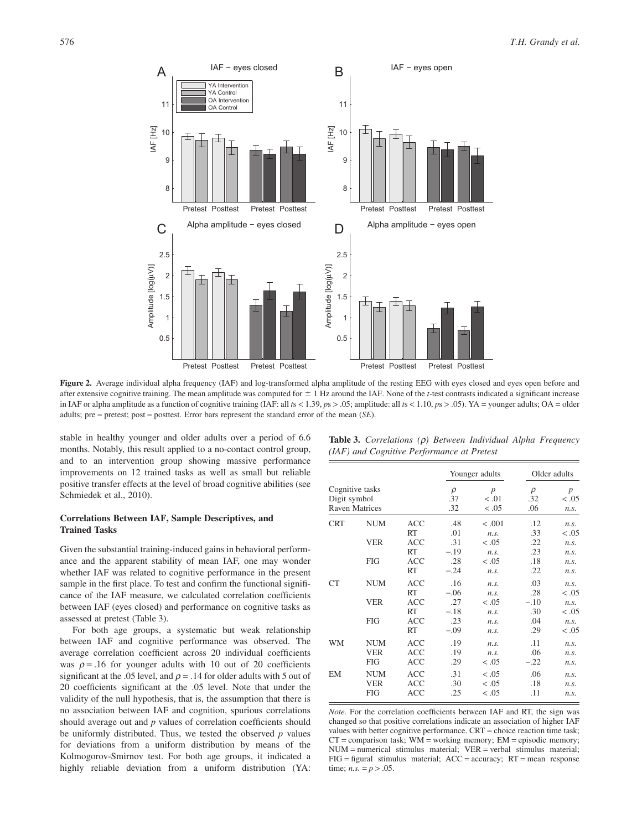

Figure 2. Average individual alpha frequency (IAF) and log-transformed alpha amplitude of the resting EEG with eyes closed and eyes open before and after extensive cognitive training. The mean amplitude was computed for  $\pm 1$  Hz around the IAF. None of the *t*-test contrasts indicated a significant increase in IAF or alpha amplitude as a function of cognitive training (IAF: all *t*s < 1.39, *p*s > .05; amplitude: all *t*s < 1.10, *p*s > .05). YA = younger adults; OA = older adults; pre = pretest; post = posttest. Error bars represent the standard error of the mean (*SE*).

stable in healthy younger and older adults over a period of 6.6 months. Notably, this result applied to a no-contact control group, and to an intervention group showing massive performance improvements on 12 trained tasks as well as small but reliable positive transfer effects at the level of broad cognitive abilities (see Schmiedek et al., 2010).

# **Correlations Between IAF, Sample Descriptives, and Trained Tasks**

Given the substantial training-induced gains in behavioral performance and the apparent stability of mean IAF, one may wonder whether IAF was related to cognitive performance in the present sample in the first place. To test and confirm the functional significance of the IAF measure, we calculated correlation coefficients between IAF (eyes closed) and performance on cognitive tasks as assessed at pretest (Table 3).

For both age groups, a systematic but weak relationship between IAF and cognitive performance was observed. The average correlation coefficient across 20 individual coefficients was  $\rho = 0.16$  for younger adults with 10 out of 20 coefficients significant at the .05 level, and  $\rho = .14$  for older adults with 5 out of 20 coefficients significant at the .05 level. Note that under the validity of the null hypothesis, that is, the assumption that there is no association between IAF and cognition, spurious correlations should average out and *p* values of correlation coefficients should be uniformly distributed. Thus, we tested the observed *p* values for deviations from a uniform distribution by means of the Kolmogorov-Smirnov test. For both age groups, it indicated a highly reliable deviation from a uniform distribution (YA:

| <b>Table 3.</b> Correlations $(\rho)$ Between Individual Alpha Frequency |  |  |
|--------------------------------------------------------------------------|--|--|
| (IAF) and Cognitive Performance at Pretest                               |  |  |

|                                                          |                                        |                                 |                      | Younger adults           | Older adults         |                      |  |
|----------------------------------------------------------|----------------------------------------|---------------------------------|----------------------|--------------------------|----------------------|----------------------|--|
| Cognitive tasks<br>Digit symbol<br><b>Raven Matrices</b> |                                        |                                 | $\rho$<br>.37<br>.32 | p<br>< 0.01<br>< 0.05    | $\rho$<br>.32<br>.06 | p<br>< .05<br>n.s.   |  |
| <b>CRT</b>                                               | <b>NUM</b>                             | <b>ACC</b><br>RT                | .48<br>.01           | < .001<br>n.s.           | .12<br>.33           | n.s.<br>< 0.05       |  |
|                                                          | <b>VER</b>                             | <b>ACC</b><br>RT                | .31<br>$-.19$        | $-.05$<br>n.s.           | .22<br>.23           | n.s.<br>n.s.         |  |
|                                                          | <b>FIG</b>                             | <b>ACC</b><br>RT                | .28<br>$-.24$        | $-.05$<br>n.s.           | .18<br>.22           | n.s.<br>n.s.         |  |
| <b>CT</b>                                                | <b>NUM</b>                             | <b>ACC</b><br>RT                | .16<br>$-.06$        | n.s.<br>n.s.             | .03<br>.28           | n.s.<br>< 0.05       |  |
|                                                          | <b>VER</b>                             | <b>ACC</b><br>RT                | .27<br>$-.18$        | < 0.05<br>n.s.           | $-.10$<br>.30        | n.s.<br>< 0.05       |  |
|                                                          | <b>FIG</b>                             | <b>ACC</b><br>RT                | .23<br>$-.09$        | n.s.<br>n.s.             | .04<br>.29           | n.s.<br>< 0.05       |  |
| WM                                                       | <b>NUM</b><br><b>VER</b><br><b>FIG</b> | <b>ACC</b><br><b>ACC</b><br>ACC | .19<br>.19<br>.29    | n.s.<br>n.s.<br>< .05    | .11<br>.06<br>$-.22$ | n.s.<br>n.s.<br>n.s. |  |
| EM                                                       | <b>NUM</b><br><b>VER</b><br><b>FIG</b> | <b>ACC</b><br><b>ACC</b><br>ACC | .31<br>.30<br>.25    | < .05<br>$-.05$<br>< .05 | .06<br>.18<br>.11    | n.s.<br>n.s.<br>n.s. |  |

*Note.* For the correlation coefficients between IAF and RT, the sign was changed so that positive correlations indicate an association of higher IAF values with better cognitive performance. CRT = choice reaction time task;  $CT =$  comparison task;  $WM =$  working memory;  $EM =$  episodic memory; NUM = numerical stimulus material; VER = verbal stimulus material; FIG = figural stimulus material; ACC = accuracy; RT = mean response time; *n.s.* =  $p > .05$ .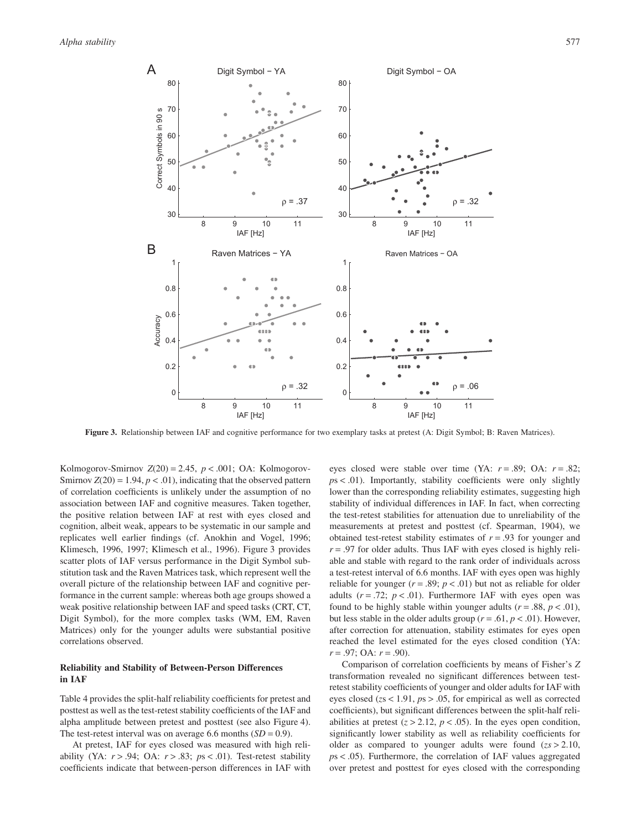

**Figure 3.** Relationship between IAF and cognitive performance for two exemplary tasks at pretest (A: Digit Symbol; B: Raven Matrices).

Kolmogorov-Smirnov  $Z(20) = 2.45$ ,  $p < .001$ ; OA: Kolmogorov-Smirnov  $Z(20) = 1.94$ ,  $p < .01$ ), indicating that the observed pattern of correlation coefficients is unlikely under the assumption of no association between IAF and cognitive measures. Taken together, the positive relation between IAF at rest with eyes closed and cognition, albeit weak, appears to be systematic in our sample and replicates well earlier findings (cf. Anokhin and Vogel, 1996; Klimesch, 1996, 1997; Klimesch et al., 1996). Figure 3 provides scatter plots of IAF versus performance in the Digit Symbol substitution task and the Raven Matrices task, which represent well the overall picture of the relationship between IAF and cognitive performance in the current sample: whereas both age groups showed a weak positive relationship between IAF and speed tasks (CRT, CT, Digit Symbol), for the more complex tasks (WM, EM, Raven Matrices) only for the younger adults were substantial positive correlations observed.

# **Reliability and Stability of Between-Person Differences in IAF**

Table 4 provides the split-half reliability coefficients for pretest and posttest as well as the test-retest stability coefficients of the IAF and alpha amplitude between pretest and posttest (see also Figure 4). The test-retest interval was on average 6.6 months  $(SD = 0.9)$ .

At pretest, IAF for eyes closed was measured with high reliability (YA: *r* > .94; OA: *r* > .83; *p*s < .01). Test-retest stability coefficients indicate that between-person differences in IAF with eyes closed were stable over time (YA: *r* = .89; OA: *r* = .82; *p*s < .01). Importantly, stability coefficients were only slightly lower than the corresponding reliability estimates, suggesting high stability of individual differences in IAF. In fact, when correcting the test-retest stabilities for attenuation due to unreliability of the measurements at pretest and posttest (cf. Spearman, 1904), we obtained test-retest stability estimates of  $r = .93$  for younger and  $r = .97$  for older adults. Thus IAF with eyes closed is highly reliable and stable with regard to the rank order of individuals across a test-retest interval of 6.6 months. IAF with eyes open was highly reliable for younger  $(r = .89; p < .01)$  but not as reliable for older adults  $(r = .72; p < .01)$ . Furthermore IAF with eyes open was found to be highly stable within younger adults  $(r = .88, p < .01)$ , but less stable in the older adults group ( $r = .61$ ,  $p < .01$ ). However, after correction for attenuation, stability estimates for eyes open reached the level estimated for the eyes closed condition (YA: *r* = .97; OA: *r* = .90).

Comparison of correlation coefficients by means of Fisher's *Z* transformation revealed no significant differences between testretest stability coefficients of younger and older adults for IAF with eyes closed (*z*s < 1.91, *p*s > .05, for empirical as well as corrected coefficients), but significant differences between the split-half reliabilities at pretest  $(z > 2.12, p < .05)$ . In the eyes open condition, significantly lower stability as well as reliability coefficients for older as compared to younger adults were found (*zs* > 2.10, *p*s < .05). Furthermore, the correlation of IAF values aggregated over pretest and posttest for eyes closed with the corresponding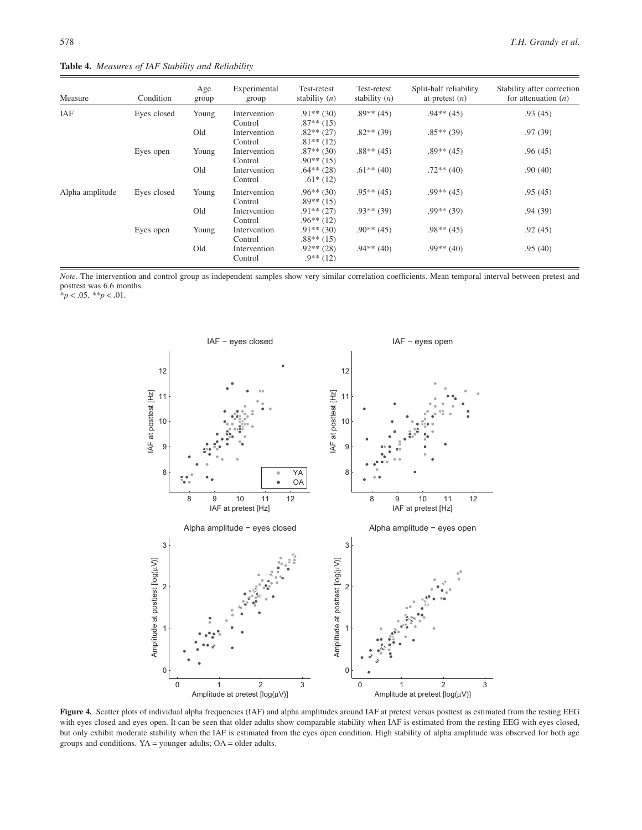**Table 4.** *Measures of IAF Stability and Reliability*

| Measure         | Condition   | Age<br>group | Experimental<br>group   | Test-retest<br>stability $(n)$ | Test-retest<br>stability $(n)$ | Split-half reliability<br>at pretest $(n)$ | Stability after correction<br>for attenuation $(n)$ |
|-----------------|-------------|--------------|-------------------------|--------------------------------|--------------------------------|--------------------------------------------|-----------------------------------------------------|
| IAF             | Eyes closed | Young        | Intervention<br>Control | $.91**$ (30)<br>$.87**$ (15)   | $.89**$ (45)                   | $.94**$ (45)                               | .93(45)                                             |
|                 |             | Old          | Intervention<br>Control | $.82**$ (27)<br>$.81**$ (12)   | $.82**$ (39)                   | $.85**$ (39)                               | .97(39)                                             |
|                 | Eyes open   | Young        | Intervention<br>Control | $.87**$ (30)<br>$.90**$ (15)   | $.88**$ (45)                   | $.89**$ (45)                               | .96(45)                                             |
|                 |             | Old          | Intervention<br>Control | $.64**$ (28)<br>$.61*(12)$     | $.61***(40)$                   | $.72**$ (40)                               | .90(40)                                             |
| Alpha amplitude | Eyes closed | Young        | Intervention<br>Control | $.96**$ (30)<br>$.89**$ (15)   | $.95***(45)$                   | $.99**$ (45)                               | .95(45)                                             |
|                 |             | Old          | Intervention<br>Control | $.91**$ (27)<br>$.96**$ (12)   | $.93**$ (39)                   | $.99**$ (39)                               | .94(39)                                             |
|                 | Eyes open   | Young        | Intervention<br>Control | $.91**$ (30)<br>$.88**$ (15)   | $.90**$ (45)                   | $.98**$ (45)                               | .92(45)                                             |
|                 |             | Old          | Intervention<br>Control | $.92**$ (28)<br>$.9**$ (12)    | $.94**$ (40)                   | $.99**$ (40)                               | .95(40)                                             |

*Note.* The intervention and control group as independent samples show very similar correlation coefficients. Mean temporal interval between pretest and posttest was 6.6 months.

 $*<sub>p</sub> < .05.$  \*\**p* < .01.



Figure 4. Scatter plots of individual alpha frequencies (IAF) and alpha amplitudes around IAF at pretest versus posttest as estimated from the resting EEG with eyes closed and eyes open. It can be seen that older adults show comparable stability when IAF is estimated from the resting EEG with eyes closed, but only exhibit moderate stability when the IAF is estimated from the eyes open condition. High stability of alpha amplitude was observed for both age groups and conditions. YA = younger adults; OA = older adults.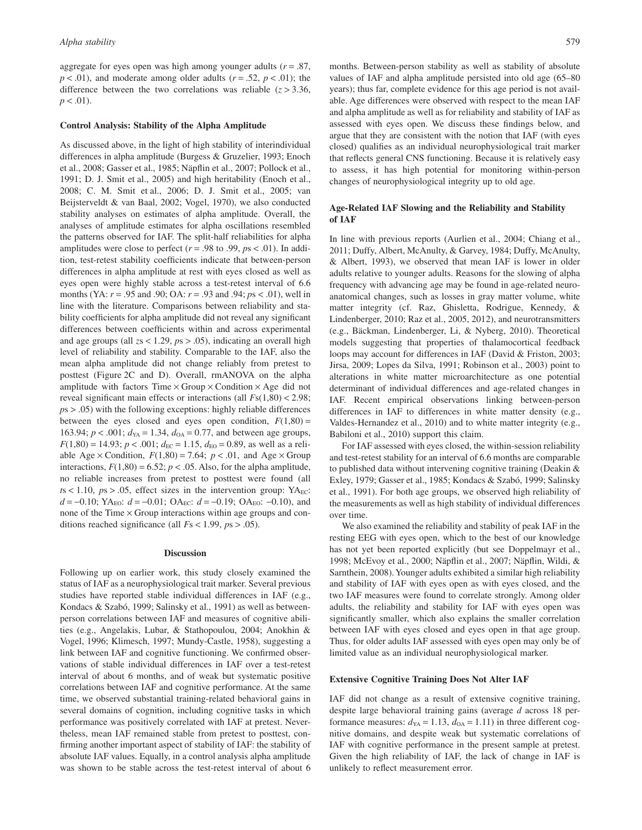aggregate for eyes open was high among younger adults  $(r = .87)$ ,  $p < .01$ ), and moderate among older adults ( $r = .52$ ,  $p < .01$ ); the difference between the two correlations was reliable  $(z > 3.36)$ ,  $p < .01$ ).

#### **Control Analysis: Stability of the Alpha Amplitude**

As discussed above, in the light of high stability of interindividual differences in alpha amplitude (Burgess & Gruzelier, 1993; Enoch et al., 2008; Gasser et al., 1985; Näpflin et al., 2007; Pollock et al., 1991; D. J. Smit et al., 2005) and high heritability (Enoch et al., 2008; C. M. Smit et al., 2006; D. J. Smit et al., 2005; van Beijsterveldt & van Baal, 2002; Vogel, 1970), we also conducted stability analyses on estimates of alpha amplitude. Overall, the analyses of amplitude estimates for alpha oscillations resembled the patterns observed for IAF. The split-half reliabilities for alpha amplitudes were close to perfect  $(r = .98 \text{ to } .99, \text{ ps } < .01)$ . In addition, test-retest stability coefficients indicate that between-person differences in alpha amplitude at rest with eyes closed as well as eyes open were highly stable across a test-retest interval of 6.6 months (YA: *r* = .95 and .90; OA: *r* = .93 and .94; *p*s < .01), well in line with the literature. Comparisons between reliability and stability coefficients for alpha amplitude did not reveal any significant differences between coefficients within and across experimental and age groups (all *z*s < 1.29, *p*s > .05), indicating an overall high level of reliability and stability. Comparable to the IAF, also the mean alpha amplitude did not change reliably from pretest to posttest (Figure 2C and D). Overall, rmANOVA on the alpha amplitude with factors  $Time \times Group \times Condition \times Age$  did not reveal significant main effects or interactions (all *F*s(1,80) < 2.98; *p*s > .05) with the following exceptions: highly reliable differences between the eyes closed and eyes open condition,  $F(1,80) =$ 163.94;  $p < .001$ ;  $d_{YA} = 1.34$ ,  $d_{OA} = 0.77$ , and between age groups,  $F(1,80) = 14.93$ ;  $p < .001$ ;  $d_{EC} = 1.15$ ,  $d_{EO} = 0.89$ , as well as a reliable Age  $\times$  Condition,  $F(1,80) = 7.64$ ;  $p < .01$ , and Age  $\times$  Group interactions,  $F(1,80) = 6.52$ ;  $p < .05$ . Also, for the alpha amplitude, no reliable increases from pretest to posttest were found (all  $t s < 1.10$ ,  $p s > .05$ , effect sizes in the intervention group: YA<sub>EC</sub>:  $d = -0.10$ ; YA<sub>EO</sub>:  $d = -0.01$ ; OA<sub>EC</sub>:  $d = -0.19$ ; OA<sub>EO</sub>: -0.10), and none of the Time  $\times$  Group interactions within age groups and conditions reached significance (all *F*s < 1.99, *p*s > .05).

#### **Discussion**

Following up on earlier work, this study closely examined the status of IAF as a neurophysiological trait marker. Several previous studies have reported stable individual differences in IAF (e.g., Kondacs & Szabó, 1999; Salinsky et al., 1991) as well as betweenperson correlations between IAF and measures of cognitive abilities (e.g., Angelakis, Lubar, & Stathopoulou, 2004; Anokhin & Vogel, 1996; Klimesch, 1997; Mundy-Castle, 1958), suggesting a link between IAF and cognitive functioning. We confirmed observations of stable individual differences in IAF over a test-retest interval of about 6 months, and of weak but systematic positive correlations between IAF and cognitive performance. At the same time, we observed substantial training-related behavioral gains in several domains of cognition, including cognitive tasks in which performance was positively correlated with IAF at pretest. Nevertheless, mean IAF remained stable from pretest to posttest, confirming another important aspect of stability of IAF: the stability of absolute IAF values. Equally, in a control analysis alpha amplitude was shown to be stable across the test-retest interval of about 6 months. Between-person stability as well as stability of absolute values of IAF and alpha amplitude persisted into old age (65–80 years); thus far, complete evidence for this age period is not available. Age differences were observed with respect to the mean IAF and alpha amplitude as well as for reliability and stability of IAF as assessed with eyes open. We discuss these findings below, and argue that they are consistent with the notion that IAF (with eyes closed) qualifies as an individual neurophysiological trait marker that reflects general CNS functioning. Because it is relatively easy to assess, it has high potential for monitoring within-person changes of neurophysiological integrity up to old age.

# **Age-Related IAF Slowing and the Reliability and Stability of IAF**

In line with previous reports (Aurlien et al., 2004; Chiang et al., 2011; Duffy, Albert, McAnulty, & Garvey, 1984; Duffy, McAnulty, & Albert, 1993), we observed that mean IAF is lower in older adults relative to younger adults. Reasons for the slowing of alpha frequency with advancing age may be found in age-related neuroanatomical changes, such as losses in gray matter volume, white matter integrity (cf. Raz, Ghisletta, Rodrigue, Kennedy, & Lindenberger, 2010; Raz et al., 2005, 2012), and neurotransmitters (e.g., Bäckman, Lindenberger, Li, & Nyberg, 2010). Theoretical models suggesting that properties of thalamocortical feedback loops may account for differences in IAF (David & Friston, 2003; Jirsa, 2009; Lopes da Silva, 1991; Robinson et al., 2003) point to alterations in white matter microarchitecture as one potential determinant of individual differences and age-related changes in IAF. Recent empirical observations linking between-person differences in IAF to differences in white matter density (e.g., Valdes-Hernandez et al., 2010) and to white matter integrity (e.g., Babiloni et al., 2010) support this claim.

For IAF assessed with eyes closed, the within-session reliability and test-retest stability for an interval of 6.6 months are comparable to published data without intervening cognitive training (Deakin & Exley, 1979; Gasser et al., 1985; Kondacs & Szabó, 1999; Salinsky et al., 1991). For both age groups, we observed high reliability of the measurements as well as high stability of individual differences over time.

We also examined the reliability and stability of peak IAF in the resting EEG with eyes open, which to the best of our knowledge has not yet been reported explicitly (but see Doppelmayr et al., 1998; McEvoy et al., 2000; Näpflin et al., 2007; Näpflin, Wildi, & Sarnthein, 2008). Younger adults exhibited a similar high reliability and stability of IAF with eyes open as with eyes closed, and the two IAF measures were found to correlate strongly. Among older adults, the reliability and stability for IAF with eyes open was significantly smaller, which also explains the smaller correlation between IAF with eyes closed and eyes open in that age group. Thus, for older adults IAF assessed with eyes open may only be of limited value as an individual neurophysiological marker.

#### **Extensive Cognitive Training Does Not Alter IAF**

IAF did not change as a result of extensive cognitive training, despite large behavioral training gains (average *d* across 18 performance measures:  $d_{YA} = 1.13$ ,  $d_{OA} = 1.11$ ) in three different cognitive domains, and despite weak but systematic correlations of IAF with cognitive performance in the present sample at pretest. Given the high reliability of IAF, the lack of change in IAF is unlikely to reflect measurement error.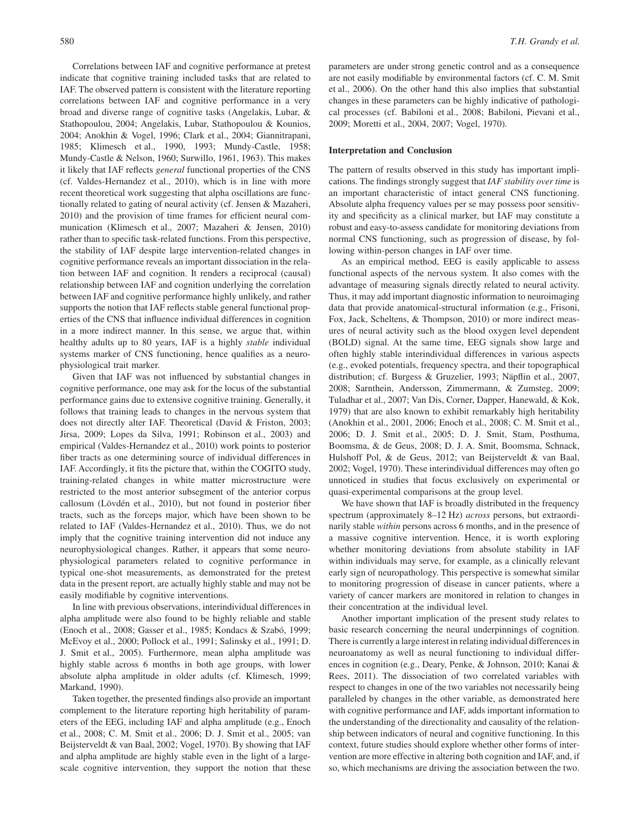Correlations between IAF and cognitive performance at pretest indicate that cognitive training included tasks that are related to IAF. The observed pattern is consistent with the literature reporting correlations between IAF and cognitive performance in a very broad and diverse range of cognitive tasks (Angelakis, Lubar, & Stathopoulou, 2004; Angelakis, Lubar, Stathopoulou & Kounios, 2004; Anokhin & Vogel, 1996; Clark et al., 2004; Giannitrapani, 1985; Klimesch et al., 1990, 1993; Mundy-Castle, 1958; Mundy-Castle & Nelson, 1960; Surwillo, 1961, 1963). This makes it likely that IAF reflects *general* functional properties of the CNS (cf. Valdes-Hernandez et al., 2010), which is in line with more recent theoretical work suggesting that alpha oscillations are functionally related to gating of neural activity (cf. Jensen & Mazaheri, 2010) and the provision of time frames for efficient neural communication (Klimesch et al., 2007; Mazaheri & Jensen, 2010) rather than to specific task-related functions. From this perspective, the stability of IAF despite large intervention-related changes in cognitive performance reveals an important dissociation in the relation between IAF and cognition. It renders a reciprocal (causal) relationship between IAF and cognition underlying the correlation between IAF and cognitive performance highly unlikely, and rather supports the notion that IAF reflects stable general functional properties of the CNS that influence individual differences in cognition in a more indirect manner. In this sense, we argue that, within healthy adults up to 80 years, IAF is a highly *stable* individual systems marker of CNS functioning, hence qualifies as a neurophysiological trait marker.

Given that IAF was not influenced by substantial changes in cognitive performance, one may ask for the locus of the substantial performance gains due to extensive cognitive training. Generally, it follows that training leads to changes in the nervous system that does not directly alter IAF. Theoretical (David & Friston, 2003; Jirsa, 2009; Lopes da Silva, 1991; Robinson et al., 2003) and empirical (Valdes-Hernandez et al., 2010) work points to posterior fiber tracts as one determining source of individual differences in IAF. Accordingly, it fits the picture that, within the COGITO study, training-related changes in white matter microstructure were restricted to the most anterior subsegment of the anterior corpus callosum (Lövdén et al., 2010), but not found in posterior fiber tracts, such as the forceps major, which have been shown to be related to IAF (Valdes-Hernandez et al., 2010). Thus, we do not imply that the cognitive training intervention did not induce any neurophysiological changes. Rather, it appears that some neurophysiological parameters related to cognitive performance in typical one-shot measurements, as demonstrated for the pretest data in the present report, are actually highly stable and may not be easily modifiable by cognitive interventions.

In line with previous observations, interindividual differences in alpha amplitude were also found to be highly reliable and stable (Enoch et al., 2008; Gasser et al., 1985; Kondacs & Szabó, 1999; McEvoy et al., 2000; Pollock et al., 1991; Salinsky et al., 1991; D. J. Smit et al., 2005). Furthermore, mean alpha amplitude was highly stable across 6 months in both age groups, with lower absolute alpha amplitude in older adults (cf. Klimesch, 1999; Markand, 1990).

Taken together, the presented findings also provide an important complement to the literature reporting high heritability of parameters of the EEG, including IAF and alpha amplitude (e.g., Enoch et al., 2008; C. M. Smit et al., 2006; D. J. Smit et al., 2005; van Beijsterveldt & van Baal, 2002; Vogel, 1970). By showing that IAF and alpha amplitude are highly stable even in the light of a largescale cognitive intervention, they support the notion that these

parameters are under strong genetic control and as a consequence are not easily modifiable by environmental factors (cf. C. M. Smit et al., 2006). On the other hand this also implies that substantial changes in these parameters can be highly indicative of pathological processes (cf. Babiloni et al., 2008; Babiloni, Pievani et al., 2009; Moretti et al., 2004, 2007; Vogel, 1970).

#### **Interpretation and Conclusion**

The pattern of results observed in this study has important implications. The findings strongly suggest that *IAF stability over time* is an important characteristic of intact general CNS functioning. Absolute alpha frequency values per se may possess poor sensitivity and specificity as a clinical marker, but IAF may constitute a robust and easy-to-assess candidate for monitoring deviations from normal CNS functioning, such as progression of disease, by following within-person changes in IAF over time.

As an empirical method, EEG is easily applicable to assess functional aspects of the nervous system. It also comes with the advantage of measuring signals directly related to neural activity. Thus, it may add important diagnostic information to neuroimaging data that provide anatomical-structural information (e.g., Frisoni, Fox, Jack, Scheltens, & Thompson, 2010) or more indirect measures of neural activity such as the blood oxygen level dependent (BOLD) signal. At the same time, EEG signals show large and often highly stable interindividual differences in various aspects (e.g., evoked potentials, frequency spectra, and their topographical distribution; cf. Burgess & Gruzelier, 1993; Näpflin et al., 2007, 2008; Sarnthein, Andersson, Zimmermann, & Zumsteg, 2009; Tuladhar et al., 2007; Van Dis, Corner, Dapper, Hanewald, & Kok, 1979) that are also known to exhibit remarkably high heritability (Anokhin et al., 2001, 2006; Enoch et al., 2008; C. M. Smit et al., 2006; D. J. Smit et al., 2005; D. J. Smit, Stam, Posthuma, Boomsma, & de Geus, 2008; D. J. A. Smit, Boomsma, Schnack, Hulshoff Pol, & de Geus, 2012; van Beijsterveldt & van Baal, 2002; Vogel, 1970). These interindividual differences may often go unnoticed in studies that focus exclusively on experimental or quasi-experimental comparisons at the group level.

We have shown that IAF is broadly distributed in the frequency spectrum (approximately 8–12 Hz) *across* persons, but extraordinarily stable *within* persons across 6 months, and in the presence of a massive cognitive intervention. Hence, it is worth exploring whether monitoring deviations from absolute stability in IAF within individuals may serve, for example, as a clinically relevant early sign of neuropathology. This perspective is somewhat similar to monitoring progression of disease in cancer patients, where a variety of cancer markers are monitored in relation to changes in their concentration at the individual level.

Another important implication of the present study relates to basic research concerning the neural underpinnings of cognition. There is currently a large interest in relating individual differences in neuroanatomy as well as neural functioning to individual differences in cognition (e.g., Deary, Penke, & Johnson, 2010; Kanai & Rees, 2011). The dissociation of two correlated variables with respect to changes in one of the two variables not necessarily being paralleled by changes in the other variable, as demonstrated here with cognitive performance and IAF, adds important information to the understanding of the directionality and causality of the relationship between indicators of neural and cognitive functioning. In this context, future studies should explore whether other forms of intervention are more effective in altering both cognition and IAF, and, if so, which mechanisms are driving the association between the two.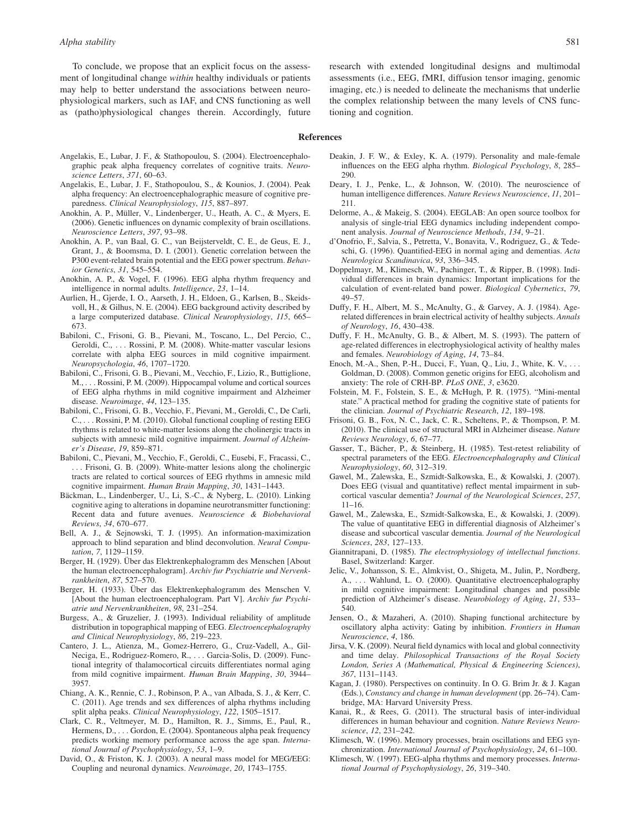To conclude, we propose that an explicit focus on the assessment of longitudinal change *within* healthy individuals or patients may help to better understand the associations between neurophysiological markers, such as IAF, and CNS functioning as well as (patho)physiological changes therein. Accordingly, future research with extended longitudinal designs and multimodal assessments (i.e., EEG, fMRI, diffusion tensor imaging, genomic imaging, etc.) is needed to delineate the mechanisms that underlie the complex relationship between the many levels of CNS functioning and cognition.

#### **References**

- Angelakis, E., Lubar, J. F., & Stathopoulou, S. (2004). Electroencephalographic peak alpha frequency correlates of cognitive traits. *Neuroscience Letters*, *371*, 60–63.
- Angelakis, E., Lubar, J. F., Stathopoulou, S., & Kounios, J. (2004). Peak alpha frequency: An electroencephalographic measure of cognitive preparedness. *Clinical Neurophysiology*, *115*, 887–897.
- Anokhin, A. P., Müller, V., Lindenberger, U., Heath, A. C., & Myers, E. (2006). Genetic influences on dynamic complexity of brain oscillations. *Neuroscience Letters*, *397*, 93–98.
- Anokhin, A. P., van Baal, G. C., van Beijsterveldt, C. E., de Geus, E. J., Grant, J., & Boomsma, D. I. (2001). Genetic correlation between the P300 event-related brain potential and the EEG power spectrum. *Behavior Genetics*, *31*, 545–554.
- Anokhin, A. P., & Vogel, F. (1996). EEG alpha rhythm frequency and intelligence in normal adults. *Intelligence*, *23*, 1–14.
- Aurlien, H., Gjerde, I. O., Aarseth, J. H., Eldoen, G., Karlsen, B., Skeidsvoll, H., & Gilhus, N. E. (2004). EEG background activity described by a large computerized database. *Clinical Neurophysiology*, *115*, 665– 673.
- Babiloni, C., Frisoni, G. B., Pievani, M., Toscano, L., Del Percio, C., Geroldi, C., . . . Rossini, P. M. (2008). White-matter vascular lesions correlate with alpha EEG sources in mild cognitive impairment. *Neuropsychologia*, *46*, 1707–1720.
- Babiloni, C., Frisoni, G. B., Pievani, M., Vecchio, F., Lizio, R., Buttiglione, M., . . . Rossini, P. M. (2009). Hippocampal volume and cortical sources of EEG alpha rhythms in mild cognitive impairment and Alzheimer disease. *Neuroimage*, *44*, 123–135.
- Babiloni, C., Frisoni, G. B., Vecchio, F., Pievani, M., Geroldi, C., De Carli, C., . . . Rossini, P. M. (2010). Global functional coupling of resting EEG rhythms is related to white-matter lesions along the cholinergic tracts in subjects with amnesic mild cognitive impairment. *Journal of Alzheimer's Disease*, *19*, 859–871.
- Babiloni, C., Pievani, M., Vecchio, F., Geroldi, C., Eusebi, F., Fracassi, C., . . . Frisoni, G. B. (2009). White-matter lesions along the cholinergic tracts are related to cortical sources of EEG rhythms in amnesic mild cognitive impairment. *Human Brain Mapping*, *30*, 1431–1443.
- Bäckman, L., Lindenberger, U., Li, S.-C., & Nyberg, L. (2010). Linking cognitive aging to alterations in dopamine neurotransmitter functioning: Recent data and future avenues. *Neuroscience & Biobehavioral Reviews*, *34*, 670–677.
- Bell, A. J., & Sejnowski, T. J. (1995). An information-maximization approach to blind separation and blind deconvolution. *Neural Computation*, *7*, 1129–1159.
- Berger, H. (1929). Über das Elektrenkephalogramm des Menschen [About the human electroencephalogram]. *Archiv fur Psychiatrie und Nervenkrankheiten*, *87*, 527–570.
- Berger, H. (1933). Über das Elektrenkephalogramm des Menschen V. [About the human electroencephalogram. Part V]. *Archiv fur Psychiatrie und Nervenkrankheiten*, *98*, 231–254.
- Burgess, A., & Gruzelier, J. (1993). Individual reliability of amplitude distribution in topographical mapping of EEG. *Electroencephalography and Clinical Neurophysiology*, *86*, 219–223.
- Cantero, J. L., Atienza, M., Gomez-Herrero, G., Cruz-Vadell, A., Gil-Neciga, E., Rodriguez-Romero, R., . . . Garcia-Solis, D. (2009). Functional integrity of thalamocortical circuits differentiates normal aging from mild cognitive impairment. *Human Brain Mapping*, *30*, 3944– 3957.
- Chiang, A. K., Rennie, C. J., Robinson, P. A., van Albada, S. J., & Kerr, C. C. (2011). Age trends and sex differences of alpha rhythms including split alpha peaks. *Clinical Neurophysiology*, *122*, 1505–1517.
- Clark, C. R., Veltmeyer, M. D., Hamilton, R. J., Simms, E., Paul, R., Hermens, D., . . . Gordon, E. (2004). Spontaneous alpha peak frequency predicts working memory performance across the age span. *International Journal of Psychophysiology*, *53*, 1–9.
- David, O., & Friston, K. J. (2003). A neural mass model for MEG/EEG: Coupling and neuronal dynamics. *Neuroimage*, *20*, 1743–1755.
- Deakin, J. F. W., & Exley, K. A. (1979). Personality and male-female influences on the EEG alpha rhythm. *Biological Psychology*, *8*, 285– 290.
- Deary, I. J., Penke, L., & Johnson, W. (2010). The neuroscience of human intelligence differences. *Nature Reviews Neuroscience*, *11*, 201– 211.
- Delorme, A., & Makeig, S. (2004). EEGLAB: An open source toolbox for analysis of single-trial EEG dynamics including independent component analysis. *Journal of Neuroscience Methods*, *134*, 9–21.
- d'Onofrio, F., Salvia, S., Petretta, V., Bonavita, V., Rodriguez, G., & Tedeschi, G. (1996). Quantified-EEG in normal aging and dementias. *Acta Neurologica Scandinavica*, *93*, 336–345.
- Doppelmayr, M., Klimesch, W., Pachinger, T., & Ripper, B. (1998). Individual differences in brain dynamics: Important implications for the calculation of event-related band power. *Biological Cybernetics*, *79*, 49–57.
- Duffy, F. H., Albert, M. S., McAnulty, G., & Garvey, A. J. (1984). Agerelated differences in brain electrical activity of healthy subjects. *Annals of Neurology*, *16*, 430–438.
- Duffy, F. H., McAnulty, G. B., & Albert, M. S. (1993). The pattern of age-related differences in electrophysiological activity of healthy males and females. *Neurobiology of Aging*, *14*, 73–84.
- Enoch, M.-A., Shen, P.-H., Ducci, F., Yuan, Q., Liu, J., White, K. V., . . . Goldman, D. (2008). Common genetic origins for EEG, alcoholism and anxiety: The role of CRH-BP. *PLoS ONE*, *3*, e3620.
- Folstein, M. F., Folstein, S. E., & McHugh, P. R. (1975). "Mini-mental state." A practical method for grading the cognitive state of patients for the clinician. *Journal of Psychiatric Research*, *12*, 189–198.
- Frisoni, G. B., Fox, N. C., Jack, C. R., Scheltens, P., & Thompson, P. M. (2010). The clinical use of structural MRI in Alzheimer disease. *Nature Reviews Neurology*, *6*, 67–77.
- Gasser, T., Bächer, P., & Steinberg, H. (1985). Test-retest reliability of spectral parameters of the EEG. *Electroencephalography and Clinical Neurophysiology*, *60*, 312–319.
- Gawel, M., Zalewska, E., Szmidt-Salkowska, E., & Kowalski, J. (2007). Does EEG (visual and quantitative) reflect mental impairment in subcortical vascular dementia? *Journal of the Neurological Sciences*, *257*, 11–16.
- Gawel, M., Zalewska, E., Szmidt-Salkowska, E., & Kowalski, J. (2009). The value of quantitative EEG in differential diagnosis of Alzheimer's disease and subcortical vascular dementia. *Journal of the Neurological Sciences*, *283*, 127–133.
- Giannitrapani, D. (1985). *The electrophysiology of intellectual functions*. Basel, Switzerland: Karger.
- Jelic, V., Johansson, S. E., Almkvist, O., Shigeta, M., Julin, P., Nordberg, A., ... Wahlund, L. O. (2000). Quantitative electroencephalography in mild cognitive impairment: Longitudinal changes and possible prediction of Alzheimer's disease. *Neurobiology of Aging*, *21*, 533– 540.
- Jensen, O., & Mazaheri, A. (2010). Shaping functional architecture by oscillatory alpha activity: Gating by inhibition. *Frontiers in Human Neuroscience*, *4*, 186.
- Jirsa, V. K. (2009). Neural field dynamics with local and global connectivity and time delay. *Philosophical Transactions of the Royal Society London, Series A (Mathematical, Physical & Engineering Sciences)*, *367*, 1131–1143.
- Kagan, J. (1980). Perspectives on continuity. In O. G. Brim Jr. & J. Kagan (Eds.), *Constancy and change in human development* (pp. 26–74). Cambridge, MA: Harvard University Press.
- Kanai, R., & Rees, G. (2011). The structural basis of inter-individual differences in human behaviour and cognition. *Nature Reviews Neuroscience*, *12*, 231–242.
- Klimesch, W. (1996). Memory processes, brain oscillations and EEG synchronization. *International Journal of Psychophysiology*, *24*, 61–100.
- Klimesch, W. (1997). EEG-alpha rhythms and memory processes. *International Journal of Psychophysiology*, *26*, 319–340.